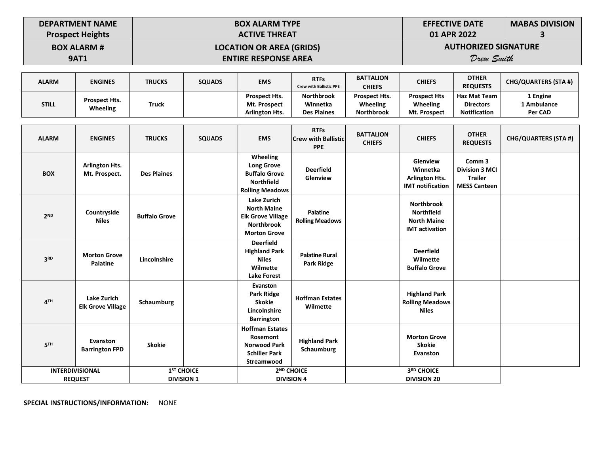| <b>DEPARTMENT NAME</b>  | $\overline{AB}$ BOX ALARM TYPE  | <b>EFFECTIVE DATE</b>       | <b>MABAS DIVISION</b> |
|-------------------------|---------------------------------|-----------------------------|-----------------------|
| <b>Prospect Heights</b> | <b>ACTIVE THREAT</b>            | 01 APR 2022                 |                       |
| <b>BOX ALARM #</b>      | <b>LOCATION OR AREA (GRIDS)</b> | <b>AUTHORIZED SIGNATURE</b> |                       |
| <b>9AT1</b>             | <b>ENTIRE RESPONSE AREA</b>     | Drew Smith                  |                       |

| <b>ALARM</b> | <b>ENGINES</b> | <b>TRUCKS</b> | <b>SQUADS</b> | <b>EMS</b>            | <b>RTFs</b><br><b>Crew with Ballistic PPE</b> | <b>BATTALION</b><br><b>CHIEFS</b> | <b>CHIEFS</b>       | <b>OTHER</b><br><b>REQUESTS</b> | <b>CHG/QUARTERS (STA #)</b> |
|--------------|----------------|---------------|---------------|-----------------------|-----------------------------------------------|-----------------------------------|---------------------|---------------------------------|-----------------------------|
| <b>STILL</b> | Prospect Hts.  |               |               | <b>Prospect Hts.</b>  | <b>Northbrook</b>                             | <b>Prospect Hts.</b>              | <b>Prospect Hts</b> | Haz Mat Team                    | L Engine                    |
|              |                | <b>Truck</b>  |               | <b>Mt. Prospect</b>   | Winnetka                                      | Wheeling                          | Wheeling            | <b>Directors</b>                | 1 Ambulance                 |
|              | Wheeling       |               |               | <b>Arlington Hts.</b> | <b>Des Plaines</b>                            | <b>Northbrook</b>                 | Mt. Prospect        | <b>Notification</b>             | Per CAD                     |

| <b>ALARM</b>           | <b>ENGINES</b>                                 | <b>TRUCKS</b>                               | <b>SQUADS</b> | <b>EMS</b>                                                                                                       | <b>RTFs</b><br><b>Crew with Ballistic</b><br><b>PPE</b> | <b>BATTALION</b><br><b>CHIEFS</b> | <b>CHIEFS</b>                                                                         | <b>OTHER</b><br><b>REQUESTS</b>                                          | <b>CHG/QUARTERS (STA #)</b> |
|------------------------|------------------------------------------------|---------------------------------------------|---------------|------------------------------------------------------------------------------------------------------------------|---------------------------------------------------------|-----------------------------------|---------------------------------------------------------------------------------------|--------------------------------------------------------------------------|-----------------------------|
| <b>BOX</b>             | <b>Arlington Hts.</b><br>Mt. Prospect.         | <b>Des Plaines</b>                          |               | Wheeling<br><b>Long Grove</b><br><b>Buffalo Grove</b><br><b>Northfield</b><br><b>Rolling Meadows</b>             | <b>Deerfield</b><br>Glenview                            |                                   | Glenview<br>Winnetka<br><b>Arlington Hts.</b><br><b>IMT</b> notification              | Comm 3<br><b>Division 3 MCI</b><br><b>Trailer</b><br><b>MESS Canteen</b> |                             |
| 2 <sup>ND</sup>        | Countryside<br><b>Niles</b>                    | <b>Buffalo Grove</b>                        |               | <b>Lake Zurich</b><br><b>North Maine</b><br><b>Elk Grove Village</b><br><b>Northbrook</b><br><b>Morton Grove</b> | <b>Palatine</b><br><b>Rolling Meadows</b>               |                                   | <b>Northbrook</b><br><b>Northfield</b><br><b>North Maine</b><br><b>IMT</b> activation |                                                                          |                             |
| 3 <sup>RD</sup>        | <b>Morton Grove</b><br><b>Palatine</b>         | Lincolnshire                                |               | <b>Deerfield</b><br><b>Highland Park</b><br><b>Niles</b><br>Wilmette<br><b>Lake Forest</b>                       | <b>Palatine Rural</b><br>Park Ridge                     |                                   | <b>Deerfield</b><br>Wilmette<br><b>Buffalo Grove</b>                                  |                                                                          |                             |
| 4 <sup>TH</sup>        | <b>Lake Zurich</b><br><b>Elk Grove Village</b> | Schaumburg                                  |               | Evanston<br>Park Ridge<br><b>Skokie</b><br>Lincolnshire<br><b>Barrington</b>                                     | <b>Hoffman Estates</b><br>Wilmette                      |                                   | <b>Highland Park</b><br><b>Rolling Meadows</b><br><b>Niles</b>                        |                                                                          |                             |
| 5 <sup>TH</sup>        | Evanston<br><b>Barrington FPD</b>              | <b>Skokie</b>                               |               | <b>Hoffman Estates</b><br>Rosemont<br><b>Norwood Park</b><br><b>Schiller Park</b><br>Streamwood                  | <b>Highland Park</b><br>Schaumburg                      |                                   | <b>Morton Grove</b><br><b>Skokie</b><br>Evanston                                      |                                                                          |                             |
| <b>INTERDIVISIONAL</b> | <b>REQUEST</b>                                 | 1 <sup>ST</sup> CHOICE<br><b>DIVISION 1</b> |               |                                                                                                                  | 2 <sup>ND</sup> CHOICE<br><b>DIVISION 4</b>             |                                   | 3RD CHOICE<br><b>DIVISION 20</b>                                                      |                                                                          |                             |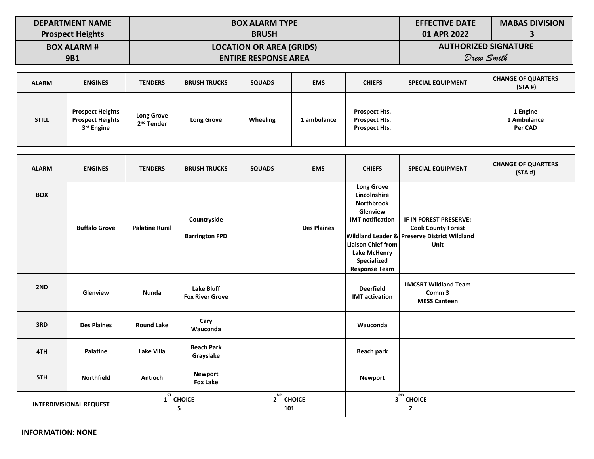| <b>DEPARTMENT NAME</b>  | <b>BOX ALARM TYPE</b>           | <b>EFFECTIVE DATE</b>       | <b>MABAS DIVISION</b> |
|-------------------------|---------------------------------|-----------------------------|-----------------------|
| <b>Prospect Heights</b> | <b>BRUSH</b>                    | 01 APR 2022                 |                       |
| <b>BOX ALARM #</b>      | <b>LOCATION OR AREA (GRIDS)</b> | <b>AUTHORIZED SIGNATURE</b> |                       |
| <b>9B1</b>              | <b>ENTIRE RESPONSE AREA</b>     | Drew Smith                  |                       |

| <b>ALARM</b> | <b>ENGINES</b>                                                               | <b>TENDERS</b>                              | <b>BRUSH TRUCKS</b> | <b>SQUADS</b>   | <b>EMS</b>  | <b>CHIEFS</b>                                                        | <b>SPECIAL EQUIPMENT</b> | <b>CHANGE OF QUARTERS</b><br>(STA#) |
|--------------|------------------------------------------------------------------------------|---------------------------------------------|---------------------|-----------------|-------------|----------------------------------------------------------------------|--------------------------|-------------------------------------|
| <b>STILL</b> | <b>Prospect Heights</b><br><b>Prospect Heights</b><br>3 <sup>rd</sup> Engine | <b>Long Grove</b><br>2 <sup>nd</sup> Tender | Long Grove          | <b>Wheeling</b> | 1 ambulance | <b>Prospect Hts.</b><br><b>Prospect Hts.</b><br><b>Prospect Hts.</b> |                          | 1 Engine<br>1 Ambulance<br>Per CAD  |

| <b>ALARM</b> | <b>ENGINES</b>                 | <b>TENDERS</b>        | <b>BRUSH TRUCKS</b>                         | <b>SQUADS</b>          | <b>EMS</b>         | <b>CHIEFS</b>                                                                                                                                                                            | <b>SPECIAL EQUIPMENT</b>                                                                                                      | <b>CHANGE OF QUARTERS</b><br>(STA#) |
|--------------|--------------------------------|-----------------------|---------------------------------------------|------------------------|--------------------|------------------------------------------------------------------------------------------------------------------------------------------------------------------------------------------|-------------------------------------------------------------------------------------------------------------------------------|-------------------------------------|
| <b>BOX</b>   | <b>Buffalo Grove</b>           | <b>Palatine Rural</b> | Countryside<br><b>Barrington FPD</b>        |                        | <b>Des Plaines</b> | <b>Long Grove</b><br>Lincolnshire<br><b>Northbrook</b><br>Glenview<br><b>IMT</b> notification<br><b>Liaison Chief from</b><br><b>Lake McHenry</b><br>Specialized<br><b>Response Team</b> | IF IN FOREST PRESERVE:<br><b>Cook County Forest</b><br><b>Wildland Leader &amp; Preserve District Wildland</b><br><b>Unit</b> |                                     |
| 2ND          | Glenview                       | Nunda                 | <b>Lake Bluff</b><br><b>Fox River Grove</b> |                        |                    | <b>Deerfield</b><br><b>IMT</b> activation                                                                                                                                                | <b>LMCSRT Wildland Team</b><br>Comm <sub>3</sub><br><b>MESS Canteen</b>                                                       |                                     |
| 3RD          | <b>Des Plaines</b>             | <b>Round Lake</b>     | Cary<br>Wauconda                            |                        |                    | Wauconda                                                                                                                                                                                 |                                                                                                                               |                                     |
| 4TH          | Palatine                       | Lake Villa            | <b>Beach Park</b><br>Grayslake              |                        |                    | Beach park                                                                                                                                                                               |                                                                                                                               |                                     |
| 5TH          | <b>Northfield</b>              | <b>Antioch</b>        | Newport<br><b>Fox Lake</b>                  |                        |                    | <b>Newport</b>                                                                                                                                                                           |                                                                                                                               |                                     |
|              | <b>INTERDIVISIONAL REQUEST</b> |                       | $1ST$ CHOICE<br>5                           | $2^{ND}$ CHOICE<br>101 |                    |                                                                                                                                                                                          | $3^{RD}$ CHOICE<br>$\overline{2}$                                                                                             |                                     |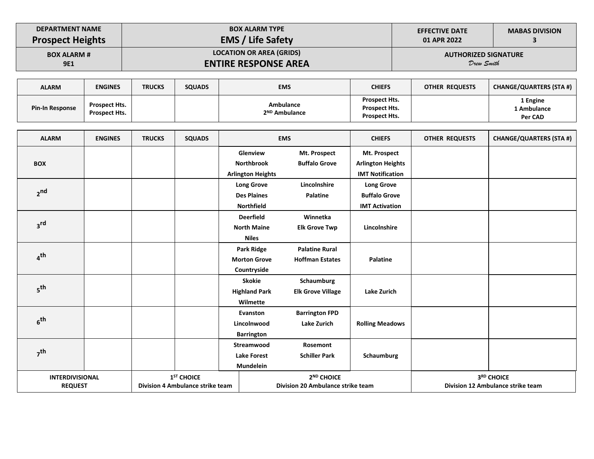| <b>DEPARTMENT NAME</b>  | <b>BOX ALARM TYPE</b>           | <b>EFFECTIVE DATE</b>       | <b>MABAS DIVISION</b> |
|-------------------------|---------------------------------|-----------------------------|-----------------------|
| <b>Prospect Heights</b> | <b>EMS / Life Safety</b>        | 01 APR 2022                 |                       |
| <b>BOX ALARM #</b>      | <b>LOCATION OR AREA (GRIDS)</b> | <b>AUTHORIZED SIGNATURE</b> |                       |
| <b>9E1</b>              | <b>ENTIRE RESPONSE AREA</b>     | Drew Smith                  |                       |

| <b>ALARM</b>           | <b>ENGINES</b>                               | <b>TRUCKS</b> | <b>SQUADS</b> | <b>EMS</b>                             | <b>CHIEFS</b>                                                 | OTHER REQUESTS | <b>CHANGE/QUARTERS (STA #)</b>     |
|------------------------|----------------------------------------------|---------------|---------------|----------------------------------------|---------------------------------------------------------------|----------------|------------------------------------|
| <b>Pin-In Response</b> | <b>Prospect Hts.</b><br><b>Prospect Hts.</b> |               |               | Ambulance<br>2 <sup>ND</sup> Ambulance | <b>Prospect Hts.</b><br>Prospect Hts.<br><b>Prospect Hts.</b> |                | 1 Engine<br>1 Ambulance<br>Per CAD |

| <b>ALARM</b>           | <b>ENGINES</b> | <b>TRUCKS</b> | <b>SQUADS</b>                    |                               | <b>EMS</b>                           | <b>CHIEFS</b>                                       | OTHER REQUESTS | <b>CHANGE/QUARTERS (STA #)</b>    |
|------------------------|----------------|---------------|----------------------------------|-------------------------------|--------------------------------------|-----------------------------------------------------|----------------|-----------------------------------|
|                        |                |               |                                  | Glenview<br><b>Northbrook</b> | Mt. Prospect<br><b>Buffalo Grove</b> | Mt. Prospect                                        |                |                                   |
| <b>BOX</b>             |                |               |                                  |                               |                                      | <b>Arlington Heights</b><br><b>IMT Notification</b> |                |                                   |
|                        |                |               |                                  | <b>Arlington Heights</b>      | Lincolnshire                         |                                                     |                |                                   |
| 2 <sub>nd</sub>        |                |               |                                  | <b>Long Grove</b>             |                                      | <b>Long Grove</b>                                   |                |                                   |
|                        |                |               |                                  | <b>Des Plaines</b>            | <b>Palatine</b>                      | <b>Buffalo Grove</b>                                |                |                                   |
|                        |                |               |                                  | <b>Northfield</b>             |                                      | <b>IMT Activation</b>                               |                |                                   |
|                        |                |               |                                  | <b>Deerfield</b>              | Winnetka                             |                                                     |                |                                   |
| 3 <sup>rd</sup>        |                |               |                                  | <b>North Maine</b>            | <b>Elk Grove Twp</b>                 | Lincolnshire                                        |                |                                   |
|                        |                |               |                                  | <b>Niles</b>                  |                                      |                                                     |                |                                   |
| 4 <sup>th</sup>        |                |               |                                  | Park Ridge                    | <b>Palatine Rural</b>                |                                                     |                |                                   |
|                        |                |               |                                  | <b>Morton Grove</b>           | <b>Hoffman Estates</b>               | <b>Palatine</b>                                     |                |                                   |
|                        |                |               |                                  | Countryside                   |                                      |                                                     |                |                                   |
|                        |                |               |                                  | <b>Skokie</b>                 | Schaumburg                           |                                                     |                |                                   |
| 5 <sup>th</sup>        |                |               |                                  | <b>Highland Park</b>          | <b>Elk Grove Village</b>             | Lake Zurich                                         |                |                                   |
|                        |                |               |                                  | Wilmette                      |                                      |                                                     |                |                                   |
|                        |                |               |                                  | Evanston                      | <b>Barrington FPD</b>                |                                                     |                |                                   |
| 6 <sup>th</sup>        |                |               |                                  | Lincolnwood                   | <b>Lake Zurich</b>                   | <b>Rolling Meadows</b>                              |                |                                   |
|                        |                |               |                                  | <b>Barrington</b>             |                                      |                                                     |                |                                   |
|                        |                |               |                                  | Streamwood                    | Rosemont                             |                                                     |                |                                   |
| 7 <sup>th</sup>        |                |               |                                  | <b>Lake Forest</b>            | <b>Schiller Park</b>                 | Schaumburg                                          |                |                                   |
|                        |                |               |                                  | <b>Mundelein</b>              |                                      |                                                     |                |                                   |
| <b>INTERDIVISIONAL</b> |                |               | 1 <sup>ST</sup> CHOICE           |                               | 2 <sup>ND</sup> CHOICE               |                                                     |                | 3RD CHOICE                        |
| <b>REQUEST</b>         |                |               | Division 4 Ambulance strike team |                               | Division 20 Ambulance strike team    |                                                     |                | Division 12 Ambulance strike team |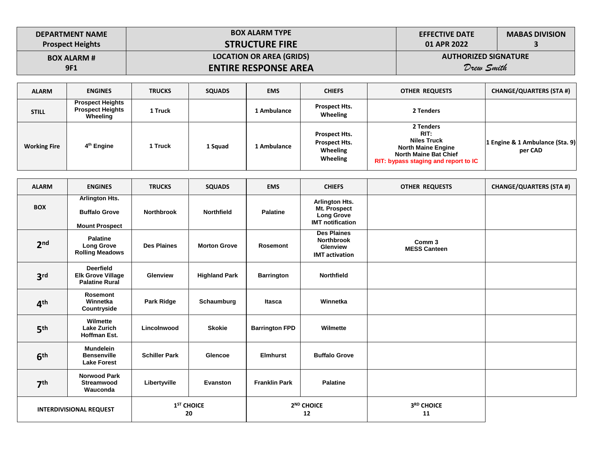| <b>DEPARTMENT NAME</b>  | <b>BOX ALARM TYPE</b>           | <b>EFFECTIVE DATE</b>       | <b>MABAS DIVISION</b> |
|-------------------------|---------------------------------|-----------------------------|-----------------------|
| <b>Prospect Heights</b> | <b>STRUCTURE FIRE</b>           | 01 APR 2022                 |                       |
| <b>BOX ALARM #</b>      | <b>LOCATION OR AREA (GRIDS)</b> | <b>AUTHORIZED SIGNATURE</b> |                       |
| <b>9F1</b>              | <b>ENTIRE RESPONSE AREA</b>     | Drew Smith                  |                       |

| <b>ALARM</b>        | <b>ENGINES</b>                                                 | <b>TRUCKS</b> | <b>SQUADS</b> | <b>EMS</b>  | <b>CHIEFS</b>                                          | <b>OTHER REQUESTS</b>                                                                                                                        | <b>CHANGE/QUARTERS (STA #)</b>             |
|---------------------|----------------------------------------------------------------|---------------|---------------|-------------|--------------------------------------------------------|----------------------------------------------------------------------------------------------------------------------------------------------|--------------------------------------------|
| <b>STILL</b>        | <b>Prospect Heights</b><br><b>Prospect Heights</b><br>Wheeling | 1 Truck       |               | 1 Ambulance | Prospect Hts.<br>Wheeling                              | 2 Tenders                                                                                                                                    |                                            |
| <b>Working Fire</b> | 4 <sup>th</sup> Engine                                         | 1 Truck       | 1 Squad       | 1 Ambulance | Prospect Hts.<br>Prospect Hts.<br>Wheeling<br>Wheeling | 2 Tenders<br>RIT:<br><b>Niles Truck</b><br><b>North Maine Engine</b><br><b>North Maine Bat Chief</b><br>RIT: bypass staging and report to IC | 1 Engine & 1 Ambulance (Sta. 9)<br>per CAD |

| <b>ALARM</b>                   | <b>ENGINES</b>                                                        | <b>TRUCKS</b>                | <b>SQUADS</b>        | <b>EMS</b>                   | <b>CHIEFS</b>                                                                         | <b>OTHER REQUESTS</b>                    | <b>CHANGE/QUARTERS (STA #)</b> |
|--------------------------------|-----------------------------------------------------------------------|------------------------------|----------------------|------------------------------|---------------------------------------------------------------------------------------|------------------------------------------|--------------------------------|
| <b>BOX</b>                     | Arlington Hts.<br><b>Buffalo Grove</b><br><b>Mount Prospect</b>       | <b>Northbrook</b>            | <b>Northfield</b>    | <b>Palatine</b>              | <b>Arlington Hts.</b><br>Mt. Prospect<br><b>Long Grove</b><br><b>IMT</b> notification |                                          |                                |
| 2 <sub>nd</sub>                | <b>Palatine</b><br><b>Long Grove</b><br><b>Rolling Meadows</b>        | <b>Des Plaines</b>           | <b>Morton Grove</b>  | <b>Rosemont</b>              | <b>Des Plaines</b><br><b>Northbrook</b><br><b>Glenview</b><br><b>IMT</b> activation   | Comm <sub>3</sub><br><b>MESS Canteen</b> |                                |
| 3 <sup>rd</sup>                | <b>Deerfield</b><br><b>Elk Grove Village</b><br><b>Palatine Rural</b> | <b>Glenview</b>              | <b>Highland Park</b> | <b>Barrington</b>            | <b>Northfield</b>                                                                     |                                          |                                |
| 4 <sup>th</sup>                | <b>Rosemont</b><br>Winnetka<br>Countryside                            | Park Ridge                   | Schaumburg           | Itasca                       | Winnetka                                                                              |                                          |                                |
| 5 <sup>th</sup>                | Wilmette<br><b>Lake Zurich</b><br><b>Hoffman Est.</b>                 | Lincolnwood                  | <b>Skokie</b>        | <b>Barrington FPD</b>        | Wilmette                                                                              |                                          |                                |
| 6 <sup>th</sup>                | <b>Mundelein</b><br><b>Bensenville</b><br><b>Lake Forest</b>          | <b>Schiller Park</b>         | <b>Glencoe</b>       | <b>Elmhurst</b>              | <b>Buffalo Grove</b>                                                                  |                                          |                                |
| 7 <sup>th</sup>                | <b>Norwood Park</b><br>Streamwood<br>Wauconda                         | Libertyville                 | Evanston             | <b>Franklin Park</b>         | <b>Palatine</b>                                                                       |                                          |                                |
| <b>INTERDIVISIONAL REQUEST</b> |                                                                       | 1 <sup>ST</sup> CHOICE<br>20 |                      | 2 <sup>ND</sup> CHOICE<br>12 |                                                                                       | 3RD CHOICE<br>11                         |                                |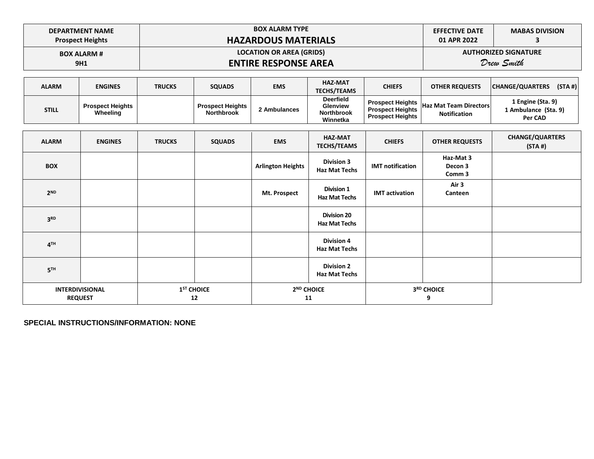| <b>DEPARTMENT NAME</b>  | <b>BOX ALARM TYPE</b>           | <b>EFFECTIVE DATE</b> | <b>MABAS DIVISION</b>       |
|-------------------------|---------------------------------|-----------------------|-----------------------------|
| <b>Prospect Heights</b> | <b>HAZARDOUS MATERIALS</b>      | 01 APR 2022           |                             |
| <b>BOX ALARM #</b>      | <b>LOCATION OR AREA (GRIDS)</b> |                       | <b>AUTHORIZED SIGNATURE</b> |
| 9H1                     | <b>ENTIRE RESPONSE AREA</b>     |                       | Drew Smith                  |

| <b>ALARM</b> | <b>ENGINES</b>                      | <b>TRUCKS</b> | <b>SQUADS</b>                                | <b>EMS</b>   | <b>HAZ-MAT</b><br><b>TECHS/TEAMS</b>                          | <b>CHIEFS</b>                                      | <b>OTHER REQUESTS</b>                                           | <b>CHANGE/QUARTERS</b>                               | (STA#) |
|--------------|-------------------------------------|---------------|----------------------------------------------|--------------|---------------------------------------------------------------|----------------------------------------------------|-----------------------------------------------------------------|------------------------------------------------------|--------|
| <b>STILL</b> | <b>Prospect Heights</b><br>Wheeling |               | <b>Prospect Heights</b><br><b>Northbrook</b> | 2 Ambulances | <b>Deerfield</b><br>Glenview<br><b>Northbrook</b><br>Winnetka | <b>Prospect Heights</b><br><b>Prospect Heights</b> | Prospect Heights  Haz Mat Team Directors<br><b>Notification</b> | 1 Engine (Sta. 9)<br>1 Ambulance (Sta. 9)<br>Per CAD |        |
|              |                                     |               |                                              |              |                                                               |                                                    |                                                                 |                                                      |        |
|              |                                     |               |                                              |              | IIAT RAXT                                                     |                                                    |                                                                 | CUANCE/OUADTEDC                                      |        |

| <b>ALARM</b>    | <b>ENGINES</b>                           | <b>TRUCKS</b> | <b>SQUADS</b>                | <b>EMS</b>               | <b>HAZ-MAT</b><br><b>TECHS/TEAMS</b>       | <b>CHIEFS</b>           | <b>OTHER REQUESTS</b>          | <b>CHANGE/QUARTERS</b><br>(STA#) |
|-----------------|------------------------------------------|---------------|------------------------------|--------------------------|--------------------------------------------|-------------------------|--------------------------------|----------------------------------|
| <b>BOX</b>      |                                          |               |                              | <b>Arlington Heights</b> | <b>Division 3</b><br><b>Haz Mat Techs</b>  | <b>IMT</b> notification | Haz-Mat 3<br>Decon 3<br>Comm 3 |                                  |
| 2 <sub>ND</sub> |                                          |               |                              | <b>Mt. Prospect</b>      | <b>Division 1</b><br><b>Haz Mat Techs</b>  | <b>IMT</b> activation   | Air 3<br>Canteen               |                                  |
| 3 <sup>RD</sup> |                                          |               |                              |                          | <b>Division 20</b><br><b>Haz Mat Techs</b> |                         |                                |                                  |
| 4 <sup>TH</sup> |                                          |               |                              |                          | <b>Division 4</b><br><b>Haz Mat Techs</b>  |                         |                                |                                  |
| 5 <sup>TH</sup> |                                          |               |                              |                          | <b>Division 2</b><br><b>Haz Mat Techs</b>  |                         |                                |                                  |
|                 | <b>INTERDIVISIONAL</b><br><b>REQUEST</b> |               | 1 <sup>ST</sup> CHOICE<br>12 |                          | 2 <sup>ND</sup> CHOICE<br>11               | 3RD CHOICE<br>9         |                                |                                  |

**SPECIAL INSTRUCTIONS/INFORMATION: NONE**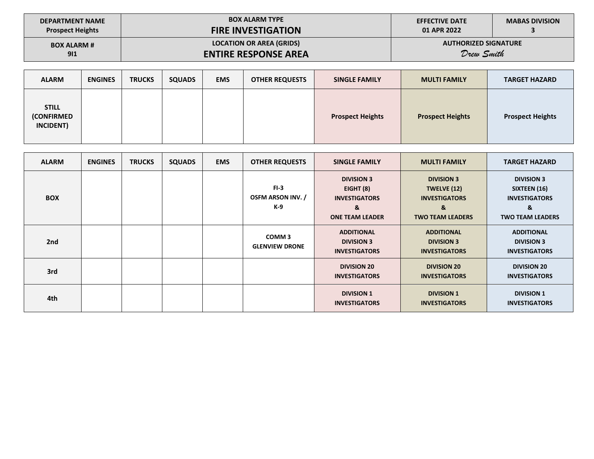| <b>DEPARTMENT NAME</b>  | <b>BOX ALARM TYPE</b>           | <b>EFFECTIVE DATE</b>       | <b>MABAS DIVISION</b> |
|-------------------------|---------------------------------|-----------------------------|-----------------------|
| <b>Prospect Heights</b> | <b>FIRE INVESTIGATION</b>       | 01 APR 2022                 |                       |
| <b>BOX ALARM #</b>      | <b>LOCATION OR AREA (GRIDS)</b> | <b>AUTHORIZED SIGNATURE</b> |                       |
| 911                     | <b>ENTIRE RESPONSE AREA</b>     | Drew Smith                  |                       |

| <b>ALARM</b>                                          | <b>ENGINES</b> | <b>TRUCKS</b> | <b>SQUADS</b> | <b>EMS</b> | <b>OTHER REQUESTS</b> | <b>SINGLE FAMILY</b>    | <b>MULTI FAMILY</b>     | <b>TARGET HAZARD</b>    |
|-------------------------------------------------------|----------------|---------------|---------------|------------|-----------------------|-------------------------|-------------------------|-------------------------|
| <b>STILL</b><br><b>(CONFIRMED</b><br><b>INCIDENT)</b> |                |               |               |            |                       | <b>Prospect Heights</b> | <b>Prospect Heights</b> | <b>Prospect Heights</b> |

| <b>ALARM</b> | <b>ENGINES</b> | <b>TRUCKS</b> | <b>SQUADS</b> | <b>EMS</b> | <b>OTHER REQUESTS</b>                      | <b>SINGLE FAMILY</b>                                                                  | <b>MULTI FAMILY</b>                                                                      | <b>TARGET HAZARD</b>                                                                      |
|--------------|----------------|---------------|---------------|------------|--------------------------------------------|---------------------------------------------------------------------------------------|------------------------------------------------------------------------------------------|-------------------------------------------------------------------------------------------|
| <b>BOX</b>   |                |               |               |            | $FI-3$<br><b>OSFM ARSON INV. /</b><br>K-9  | <b>DIVISION 3</b><br>EIGHT (8)<br><b>INVESTIGATORS</b><br>&<br><b>ONE TEAM LEADER</b> | <b>DIVISION 3</b><br>TWELVE (12)<br><b>INVESTIGATORS</b><br>&<br><b>TWO TEAM LEADERS</b> | <b>DIVISION 3</b><br>SIXTEEN (16)<br><b>INVESTIGATORS</b><br>&<br><b>TWO TEAM LEADERS</b> |
| 2nd          |                |               |               |            | COMM <sub>3</sub><br><b>GLENVIEW DRONE</b> | <b>ADDITIONAL</b><br><b>DIVISION 3</b><br><b>INVESTIGATORS</b>                        | <b>ADDITIONAL</b><br><b>DIVISION 3</b><br><b>INVESTIGATORS</b>                           | <b>ADDITIONAL</b><br><b>DIVISION 3</b><br><b>INVESTIGATORS</b>                            |
| 3rd          |                |               |               |            |                                            | <b>DIVISION 20</b><br><b>INVESTIGATORS</b>                                            | <b>DIVISION 20</b><br><b>INVESTIGATORS</b>                                               | <b>DIVISION 20</b><br><b>INVESTIGATORS</b>                                                |
| 4th          |                |               |               |            |                                            | <b>DIVISION 1</b><br><b>INVESTIGATORS</b>                                             | <b>DIVISION 1</b><br><b>INVESTIGATORS</b>                                                | <b>DIVISION 1</b><br><b>INVESTIGATORS</b>                                                 |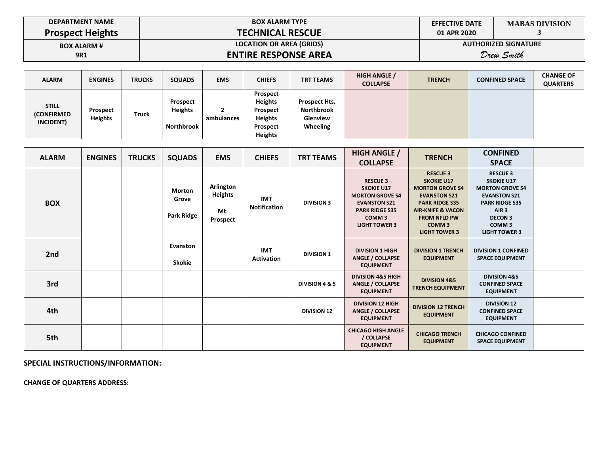| <b>DEPARTMENT NAME</b>  |  |
|-------------------------|--|
| <b>Prospect Heights</b> |  |

# **BOX ALARM TYPE TECHNICAL RESCUE**

**EFFECTIVE DATE 01 APR 2020**

**MABAS DIVISION 3**

**BOX ALARM # 9R1**

## **LOCATION OR AREA (GRIDS) ENTIRE RESPONSE AREA**

**AUTHORIZED SIGNATURE**

*Drew Smith* 

| <b>ALARM</b>                                    | <b>ENGINES</b>             | <b>TRUCKS</b> | <b>SQUADS</b>                                   | <b>EMS</b>      | <b>CHIEFS</b>                                                                          | <b>TRT TEAMS</b>                                                         | <b>HIGH ANGLE /</b><br><b>COLLAPSE</b> | <b>TRENCH</b> | <b>CONFINED SPACE</b> | <b>CHANGE OF</b><br><b>QUARTERS</b> |
|-------------------------------------------------|----------------------------|---------------|-------------------------------------------------|-----------------|----------------------------------------------------------------------------------------|--------------------------------------------------------------------------|----------------------------------------|---------------|-----------------------|-------------------------------------|
| <b>STILL</b><br><b>(CONFIRMED)</b><br>INCIDENT) | Prospect<br><b>Heights</b> | Truck         | Prospect<br><b>Heights</b><br><b>Northbrook</b> | -<br>ambulances | Prospect<br><b>Heights</b><br>Prospect<br><b>Heights</b><br>Prospect<br><b>Heights</b> | <b>Prospect Hts.</b><br><b>Northbrook</b><br><b>Glenview</b><br>Wheeling |                                        |               |                       |                                     |

| <b>ALARM</b> | <b>ENGINES</b> | <b>TRUCKS</b> | <b>SQUADS</b>                        | <b>EMS</b>                                     | <b>CHIEFS</b>                   | <b>TRT TEAMS</b>   | <b>HIGH ANGLE /</b><br><b>COLLAPSE</b>                                                                                                                      | <b>TRENCH</b>                                                                                                                                                                                                      | <b>CONFINED</b><br><b>SPACE</b>                                                                                                                                                                   |  |
|--------------|----------------|---------------|--------------------------------------|------------------------------------------------|---------------------------------|--------------------|-------------------------------------------------------------------------------------------------------------------------------------------------------------|--------------------------------------------------------------------------------------------------------------------------------------------------------------------------------------------------------------------|---------------------------------------------------------------------------------------------------------------------------------------------------------------------------------------------------|--|
| <b>BOX</b>   |                |               | <b>Morton</b><br>Grove<br>Park Ridge | Arlington<br><b>Heights</b><br>Mt.<br>Prospect | <b>IMT</b><br>Notification      | <b>DIVISION 3</b>  | <b>RESCUE 3</b><br><b>SKOKIE U17</b><br><b>MORTON GROVE S4</b><br><b>EVANSTON S21</b><br><b>PARK RIDGE S35</b><br>COMM <sub>3</sub><br><b>LIGHT TOWER 3</b> | <b>RESCUE 3</b><br><b>SKOKIE U17</b><br><b>MORTON GROVE S4</b><br><b>EVANSTON S21</b><br><b>PARK RIDGE S35</b><br><b>AIR-KNIFE &amp; VACON</b><br><b>FROM NFLD PW</b><br>COMM <sub>3</sub><br><b>LIGHT TOWER 3</b> | <b>RESCUE 3</b><br><b>SKOKIE U17</b><br><b>MORTON GROVE S4</b><br><b>EVANSTON S21</b><br><b>PARK RIDGE S35</b><br>AIR <sub>3</sub><br><b>DECON 3</b><br>COMM <sub>3</sub><br><b>LIGHT TOWER 3</b> |  |
| 2nd          |                |               | Evanston<br>Skokie                   |                                                | <b>IMT</b><br><b>Activation</b> | <b>DIVISION 1</b>  | <b>DIVISION 1 HIGH</b><br><b>ANGLE / COLLAPSE</b><br><b>EQUIPMENT</b>                                                                                       | <b>DIVISION 1 TRENCH</b><br><b>EQUIPMENT</b>                                                                                                                                                                       | <b>DIVISION 1 CONFINED</b><br><b>SPACE EQUIPMENT</b>                                                                                                                                              |  |
| 3rd          |                |               |                                      |                                                |                                 | DIVISION 4 & 5     | <b>DIVISION 4&amp;5 HIGH</b><br><b>ANGLE / COLLAPSE</b><br><b>EQUIPMENT</b>                                                                                 | <b>DIVISION 4&amp;5</b><br><b>TRENCH EQUIPMENT</b>                                                                                                                                                                 | <b>DIVISION 4&amp;5</b><br><b>CONFINED SPACE</b><br><b>EQUIPMENT</b>                                                                                                                              |  |
| 4th          |                |               |                                      |                                                |                                 | <b>DIVISION 12</b> | <b>DIVISION 12 HIGH</b><br><b>ANGLE / COLLAPSE</b><br><b>EQUIPMENT</b>                                                                                      | <b>DIVISION 12 TRENCH</b><br><b>EQUIPMENT</b>                                                                                                                                                                      | <b>DIVISION 12</b><br><b>CONFINED SPACE</b><br><b>EQUIPMENT</b>                                                                                                                                   |  |
| 5th          |                |               |                                      |                                                |                                 |                    | <b>CHICAGO HIGH ANGLE</b><br>/ COLLAPSE<br><b>EQUIPMENT</b>                                                                                                 | <b>CHICAGO TRENCH</b><br><b>EQUIPMENT</b>                                                                                                                                                                          | <b>CHICAGO CONFINED</b><br><b>SPACE EQUIPMENT</b>                                                                                                                                                 |  |

**SPECIAL INSTRUCTIONS/INFORMATION:** 

**CHANGE OF QUARTERS ADDRESS:**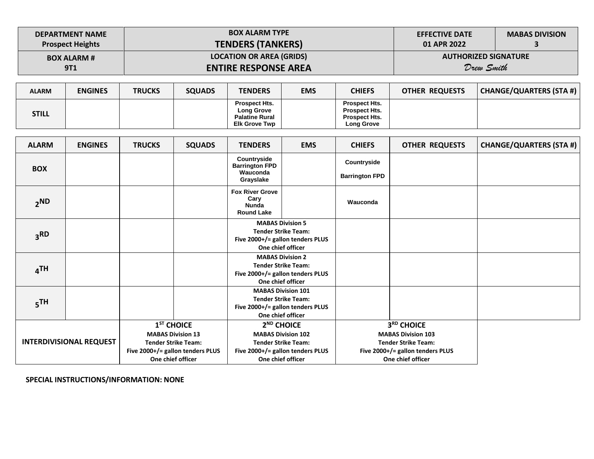| <b>DEPARTMENT NAME</b>  | <b>BOX ALARM TYPE</b>           | <b>EFFECTIVE DATE</b>       | <b>MABAS DIVISION</b> |
|-------------------------|---------------------------------|-----------------------------|-----------------------|
| <b>Prospect Heights</b> | <b>TENDERS (TANKERS)</b>        | 01 APR 2022                 |                       |
| <b>BOX ALARM #</b>      | <b>LOCATION OR AREA (GRIDS)</b> | <b>AUTHORIZED SIGNATURE</b> |                       |
| <b>9T1</b>              | <b>ENTIRE RESPONSE AREA</b>     | Drew Smith                  |                       |

| <b>ALARM</b> | <b>ENGINES</b> | <b>TRUCKS</b> | <b>SQUADS</b> | TENDERS                                                     | <b>EMS</b> | CHIEFS                                                               | <b>OTHER REQUESTS</b> | CHANGE/QUARTERS (STA #) |
|--------------|----------------|---------------|---------------|-------------------------------------------------------------|------------|----------------------------------------------------------------------|-----------------------|-------------------------|
| STILL        |                |               |               | <b>Prospect Hts.</b><br>Long Grove<br><b>Palatine Rural</b> |            | <b>Prospect Hts.</b><br><b>Prospect Hts.</b><br><b>Prospect Hts.</b> |                       |                         |
|              |                |               |               | <b>Elk Grove Twp</b>                                        |            | <b>Long Grove</b>                                                    |                       |                         |

| <b>ALARM</b>                   | <b>ENGINES</b> | <b>TRUCKS</b>                                                                                                                   | <b>SQUADS</b> | <b>TENDERS</b>                                                                                                 | <b>EMS</b>                                                                                                                                 | <b>CHIEFS</b>                        | <b>OTHER REQUESTS</b>                                                                                                          | <b>CHANGE/QUARTERS (STA #)</b> |
|--------------------------------|----------------|---------------------------------------------------------------------------------------------------------------------------------|---------------|----------------------------------------------------------------------------------------------------------------|--------------------------------------------------------------------------------------------------------------------------------------------|--------------------------------------|--------------------------------------------------------------------------------------------------------------------------------|--------------------------------|
| <b>BOX</b>                     |                |                                                                                                                                 |               | Countryside<br><b>Barrington FPD</b><br>Wauconda<br>Grayslake                                                  |                                                                                                                                            | Countryside<br><b>Barrington FPD</b> |                                                                                                                                |                                |
| 2ND                            |                |                                                                                                                                 |               | <b>Fox River Grove</b><br>Cary<br><b>Nunda</b><br><b>Round Lake</b>                                            |                                                                                                                                            | Wauconda                             |                                                                                                                                |                                |
| 3 <sup>RD</sup>                |                |                                                                                                                                 |               | <b>MABAS Division 5</b><br><b>Tender Strike Team:</b><br>Five 2000+/= gallon tenders PLUS<br>One chief officer |                                                                                                                                            |                                      |                                                                                                                                |                                |
| 4 <sup>TH</sup>                |                |                                                                                                                                 |               | <b>MABAS Division 2</b><br><b>Tender Strike Team:</b><br>Five 2000+/= gallon tenders PLUS<br>One chief officer |                                                                                                                                            |                                      |                                                                                                                                |                                |
| 5 <sup>TH</sup>                |                |                                                                                                                                 |               |                                                                                                                | <b>MABAS Division 101</b><br><b>Tender Strike Team:</b><br>Five 2000+/= gallon tenders PLUS<br>One chief officer                           |                                      |                                                                                                                                |                                |
| <b>INTERDIVISIONAL REQUEST</b> |                | $1ST$ CHOICE<br><b>MABAS Division 13</b><br><b>Tender Strike Team:</b><br>Five 2000+/= gallon tenders PLUS<br>One chief officer |               |                                                                                                                | 2 <sup>ND</sup> CHOICE<br><b>MABAS Division 102</b><br><b>Tender Strike Team:</b><br>Five 2000+/= gallon tenders PLUS<br>One chief officer |                                      | 3RD CHOICE<br><b>MABAS Division 103</b><br><b>Tender Strike Team:</b><br>Five 2000+/= gallon tenders PLUS<br>One chief officer |                                |

**SPECIAL INSTRUCTIONS/INFORMATION: NONE**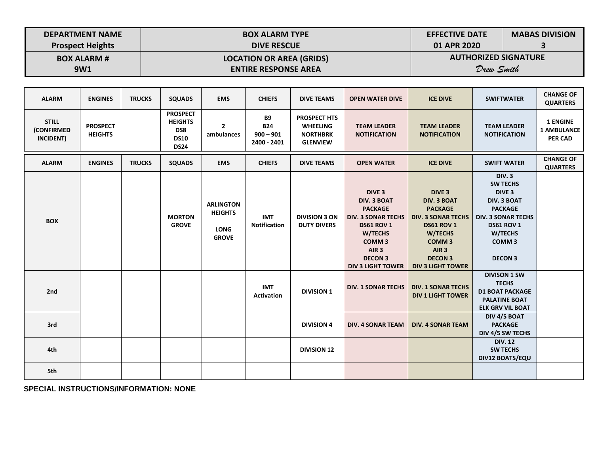| <b>DEPARTMENT NAME</b>  | <b>BOX ALARM TYPE</b>           | <b>EFFECTIVE DATE</b>       | <b>MABAS DIVISION</b> |
|-------------------------|---------------------------------|-----------------------------|-----------------------|
| <b>Prospect Heights</b> | <b>DIVE RESCUE</b>              | 01 APR 2020                 |                       |
| <b>BOX ALARM #</b>      | <b>LOCATION OR AREA (GRIDS)</b> | <b>AUTHORIZED SIGNATURE</b> |                       |
| 9W1                     | <b>ENTIRE RESPONSE AREA</b>     | Drew Smith                  |                       |

| <b>ALARM</b>                                   | <b>ENGINES</b>                    | <b>TRUCKS</b> | <b>SQUADS</b>                                                          | <b>EMS</b>                                                        | <b>CHIEFS</b>                                         | <b>DIVE TEAMS</b>                                                            | <b>OPEN WATER DIVE</b>                                                                                                                                                                                        | <b>ICE DIVE</b>                                                                                                                                                                                               | <b>SWIFTWATER</b>                                                                                                                                                                                | <b>CHANGE OF</b><br><b>QUARTERS</b>                     |
|------------------------------------------------|-----------------------------------|---------------|------------------------------------------------------------------------|-------------------------------------------------------------------|-------------------------------------------------------|------------------------------------------------------------------------------|---------------------------------------------------------------------------------------------------------------------------------------------------------------------------------------------------------------|---------------------------------------------------------------------------------------------------------------------------------------------------------------------------------------------------------------|--------------------------------------------------------------------------------------------------------------------------------------------------------------------------------------------------|---------------------------------------------------------|
| <b>STILL</b><br><b>(CONFIRMED</b><br>INCIDENT) | <b>PROSPECT</b><br><b>HEIGHTS</b> |               | <b>PROSPECT</b><br><b>HEIGHTS</b><br>DS8<br><b>DS10</b><br><b>DS24</b> | $\overline{2}$<br>ambulances                                      | <b>B9</b><br><b>B24</b><br>$900 - 901$<br>2400 - 2401 | <b>PROSPECT HTS</b><br><b>WHEELING</b><br><b>NORTHBRK</b><br><b>GLENVIEW</b> | <b>TEAM LEADER</b><br><b>NOTIFICATION</b>                                                                                                                                                                     | <b>TEAM LEADER</b><br><b>NOTIFICATION</b>                                                                                                                                                                     | <b>TEAM LEADER</b><br><b>NOTIFICATION</b>                                                                                                                                                        | <b>1 ENGINE</b><br><b>1 AMBULANCE</b><br><b>PER CAD</b> |
| <b>ALARM</b>                                   | <b>ENGINES</b>                    | <b>TRUCKS</b> | <b>SQUADS</b>                                                          | <b>EMS</b>                                                        | <b>CHIEFS</b>                                         | <b>DIVE TEAMS</b>                                                            | <b>OPEN WATER</b>                                                                                                                                                                                             | <b>ICE DIVE</b>                                                                                                                                                                                               | <b>SWIFT WATER</b>                                                                                                                                                                               | <b>CHANGE OF</b><br><b>QUARTERS</b>                     |
| <b>BOX</b>                                     |                                   |               | <b>MORTON</b><br><b>GROVE</b>                                          | <b>ARLINGTON</b><br><b>HEIGHTS</b><br><b>LONG</b><br><b>GROVE</b> | <b>IMT</b><br><b>Notification</b>                     | <b>DIVISION 3 ON</b><br><b>DUTY DIVERS</b>                                   | DIVE <sub>3</sub><br><b>DIV. 3 BOAT</b><br><b>PACKAGE</b><br><b>DIV. 3 SONAR TECHS</b><br><b>DS61 ROV 1</b><br>W/TECHS<br>COMM <sub>3</sub><br>AIR <sub>3</sub><br><b>DECON 3</b><br><b>DIV 3 LIGHT TOWER</b> | DIVE <sub>3</sub><br><b>DIV. 3 BOAT</b><br><b>PACKAGE</b><br><b>DIV. 3 SONAR TECHS</b><br><b>DS61 ROV 1</b><br>W/TECHS<br>COMM <sub>3</sub><br>AIR <sub>3</sub><br><b>DECON 3</b><br><b>DIV 3 LIGHT TOWER</b> | <b>DIV.3</b><br><b>SW TECHS</b><br>DIVE <sub>3</sub><br><b>DIV. 3 BOAT</b><br><b>PACKAGE</b><br><b>DIV. 3 SONAR TECHS</b><br><b>DS61 ROV 1</b><br>W/TECHS<br>COMM <sub>3</sub><br><b>DECON 3</b> |                                                         |
| 2nd                                            |                                   |               |                                                                        |                                                                   | <b>IMT</b><br><b>Activation</b>                       | <b>DIVISION 1</b>                                                            | <b>DIV. 1 SONAR TECHS</b>                                                                                                                                                                                     | <b>DIV. 1 SONAR TECHS</b><br><b>DIV 1 LIGHT TOWER</b>                                                                                                                                                         | <b>DIVISON 1 SW</b><br><b>TECHS</b><br><b>D1 BOAT PACKAGE</b><br><b>PALATINE BOAT</b><br><b>ELK GRV VIL BOAT</b>                                                                                 |                                                         |
| 3rd                                            |                                   |               |                                                                        |                                                                   |                                                       | <b>DIVISION 4</b>                                                            | <b>DIV. 4 SONAR TEAM</b>                                                                                                                                                                                      | <b>DIV. 4 SONAR TEAM</b>                                                                                                                                                                                      | DIV 4/5 BOAT<br><b>PACKAGE</b><br>DIV 4/5 SW TECHS                                                                                                                                               |                                                         |
| 4th                                            |                                   |               |                                                                        |                                                                   |                                                       | <b>DIVISION 12</b>                                                           |                                                                                                                                                                                                               |                                                                                                                                                                                                               | <b>DIV. 12</b><br><b>SW TECHS</b><br><b>DIV12 BOATS/EQU</b>                                                                                                                                      |                                                         |
| 5th                                            |                                   |               |                                                                        |                                                                   |                                                       |                                                                              |                                                                                                                                                                                                               |                                                                                                                                                                                                               |                                                                                                                                                                                                  |                                                         |

**SPECIAL INSTRUCTIONS/INFORMATION: NONE**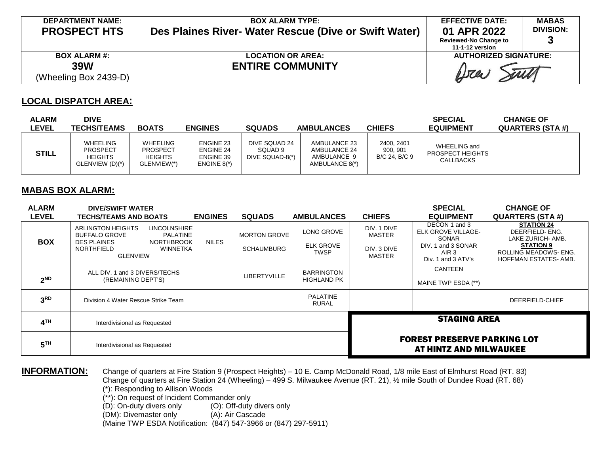| <b>DEPARTMENT NAME:</b><br><b>PROSPECT HTS</b>             | <b>BOX ALARM TYPE:</b><br>Des Plaines River- Water Rescue (Dive or Swift Water) | <b>EFFECTIVE DATE:</b><br>01 APR 2022<br><b>Reviewed-No Change to</b><br>11-1-12 version | <b>MABAS</b><br><b>DIVISION:</b> |
|------------------------------------------------------------|---------------------------------------------------------------------------------|------------------------------------------------------------------------------------------|----------------------------------|
| <b>BOX ALARM #:</b><br><b>39W</b><br>(Wheeling Box 2439-D) | <b>LOCATION OR AREA:</b><br><b>ENTIRE COMMUNITY</b>                             | <b>AUTHORIZED SIGNATURE:</b><br>Wa                                                       |                                  |

### **LOCAL DISPATCH AREA:**

| <b>ALARM</b><br><b>LEVEL</b> | <b>DIVE</b><br><b>TECHS/TEAMS</b>                                | <b>BOATS</b>                                                 | <b>ENGINES</b>                                                     | <b>SQUADS</b>                               | <b>AMBULANCES</b>                                             | <b>CHIEFS</b>                           | <b>SPECIAL</b><br><b>EQUIPMENT</b>                   | <b>CHANGE OF</b><br><b>QUARTERS (STA #)</b> |
|------------------------------|------------------------------------------------------------------|--------------------------------------------------------------|--------------------------------------------------------------------|---------------------------------------------|---------------------------------------------------------------|-----------------------------------------|------------------------------------------------------|---------------------------------------------|
| <b>STILL</b>                 | WHEELING<br><b>PROSPECT</b><br><b>HEIGHTS</b><br>GLENVIEW (D)(*) | WHEELING<br><b>PROSPECT</b><br><b>HEIGHTS</b><br>GLENVIEW(*) | <b>ENGINE 23</b><br><b>ENGINE 24</b><br>ENGINE 39<br>ENGINE $8(*)$ | DIVE SQUAD 24<br>SQUAD 9<br>DIVE SQUAD-8(*) | AMBULANCE 23<br>AMBULANCE 24<br>AMBULANCE 9<br>AMBULANCE 8(*) | 2400, 2401<br>900, 901<br>B/C 24, B/C 9 | WHEELING and<br>PROSPECT HEIGHTS<br><b>CALLBACKS</b> |                                             |

#### **MABAS BOX ALARM:**

| <b>ALARM</b><br><b>LEVEL</b> | <b>DIVE/SWIFT WATER</b><br><b>TECHS/TEAMS AND BOATS</b>                                                                                                                                   | <b>ENGINES</b> | <b>SQUADS</b>                            | <b>AMBULANCES</b>                             | <b>CHIEFS</b>                                                | <b>SPECIAL</b><br><b>EQUIPMENT</b>                                                                                  | <b>CHANGE OF</b><br><b>QUARTERS (STA #)</b>                                                                                           |
|------------------------------|-------------------------------------------------------------------------------------------------------------------------------------------------------------------------------------------|----------------|------------------------------------------|-----------------------------------------------|--------------------------------------------------------------|---------------------------------------------------------------------------------------------------------------------|---------------------------------------------------------------------------------------------------------------------------------------|
| <b>BOX</b>                   | <b>ARLINGTON HEIGHTS</b><br><b>LINCOLNSHIRE</b><br><b>BUFFALO GROVE</b><br><b>PALATINE</b><br><b>DES PLAINES</b><br><b>NORTHBROOK</b><br><b>WINNETKA</b><br>NORTHFIELD<br><b>GLENVIEW</b> | <b>NILES</b>   | <b>MORTON GROVE</b><br><b>SCHAUMBURG</b> | LONG GROVE<br><b>ELK GROVE</b><br><b>TWSP</b> | DIV. 1 DIVE<br><b>MASTER</b><br>DIV. 3 DIVE<br><b>MASTER</b> | DECON 1 and 3<br><b>ELK GROVE VILLAGE-</b><br>SONAR<br>DIV. 1 and 3 SONAR<br>AIR <sub>3</sub><br>Div. 1 and 3 ATV's | <b>STATION 24</b><br>DEERFIELD- ENG.<br>LAKE ZURICH- AMB.<br><b>STATION 9</b><br>ROLLING MEADOWS- ENG.<br><b>HOFFMAN ESTATES-AMB.</b> |
| 2 <sub>ND</sub>              | ALL DIV. 1 and 3 DIVERS/TECHS<br>(REMAINING DEPT'S)                                                                                                                                       |                | <b>LIBERTYVILLE</b>                      | <b>BARRINGTON</b><br><b>HIGHLAND PK</b>       |                                                              | <b>CANTEEN</b><br>MAINE TWP ESDA (**)                                                                               |                                                                                                                                       |
| 3 <sup>RD</sup>              | Division 4 Water Rescue Strike Team                                                                                                                                                       |                |                                          | <b>PALATINE</b><br><b>RURAL</b>               |                                                              |                                                                                                                     | DEERFIELD-CHIEF                                                                                                                       |
| 4 <sup>TH</sup>              | Interdivisional as Requested                                                                                                                                                              |                |                                          |                                               | <b>STAGING AREA</b>                                          |                                                                                                                     |                                                                                                                                       |
| 5 <sup>TH</sup>              | Interdivisional as Requested                                                                                                                                                              |                |                                          |                                               | <b>FOREST PRESERVE PARKING LOT</b><br>AT HINTZ AND MILWAUKEE |                                                                                                                     |                                                                                                                                       |

**INFORMATION:** Change of quarters at Fire Station 9 (Prospect Heights) – 10 E. Camp McDonald Road, 1/8 mile East of Elmhurst Road (RT. 83) Change of quarters at Fire Station 24 (Wheeling) – 499 S. Milwaukee Avenue (RT. 21), ½ mile South of Dundee Road (RT. 68) (\*): Responding to Allison Woods

 $(**)$ : On request of Incident Commander only<br>(D): On-duty divers only (O): Off-duty

(O): Off-duty divers only<br>(A): Air Cascade

(DM): Divemaster only

(Maine TWP ESDA Notification: (847) 547-3966 or (847) 297-5911)